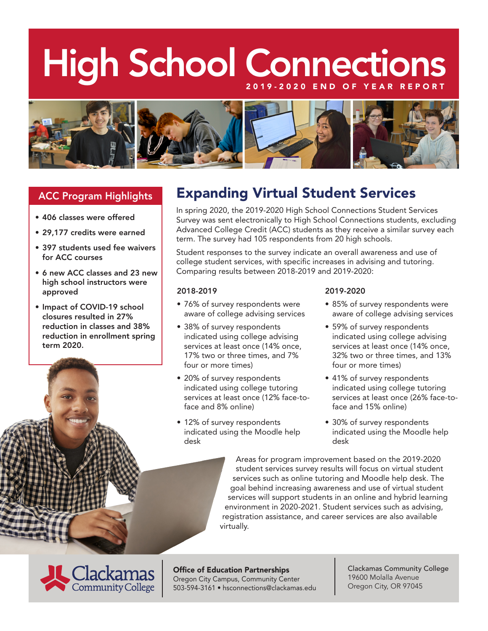# High School Connections



## ACC Program Highlights

- 406 classes were offered
- 29,177 credits were earned
- 397 students used fee waivers for ACC courses
- 6 new ACC classes and 23 new high school instructors were approved
- Impact of COVID-19 school closures resulted in 27% reduction in classes and 38% reduction in enrollment spring term 2020.

# Expanding Virtual Student Services

In spring 2020, the 2019-2020 High School Connections Student Services Survey was sent electronically to High School Connections students, excluding Advanced College Credit (ACC) students as they receive a similar survey each term. The survey had 105 respondents from 20 high schools.

Student responses to the survey indicate an overall awareness and use of college student services, with specific increases in advising and tutoring. Comparing results between 2018-2019 and 2019-2020:

#### 2018-2019

- 76% of survey respondents were aware of college advising services
- 38% of survey respondents indicated using college advising services at least once (14% once, 17% two or three times, and 7% four or more times)
- 20% of survey respondents indicated using college tutoring services at least once (12% face-toface and 8% online)
- 12% of survey respondents indicated using the Moodle help desk

#### 2019-2020

- 85% of survey respondents were aware of college advising services
- 59% of survey respondents indicated using college advising services at least once (14% once, 32% two or three times, and 13% four or more times)
- 41% of survey respondents indicated using college tutoring services at least once (26% face-toface and 15% online)
- 30% of survey respondents indicated using the Moodle help desk

Areas for program improvement based on the 2019-2020 student services survey results will focus on virtual student services such as online tutoring and Moodle help desk. The goal behind increasing awareness and use of virtual student services will support students in an online and hybrid learning environment in 2020-2021. Student services such as advising, registration assistance, and career services are also available virtually.



Office of Education Partnerships Oregon City Campus, Community Center 503-594-3161 • hsconnections@clackamas.edu Clackamas Community College 19600 Molalla Avenue Oregon City, OR 97045